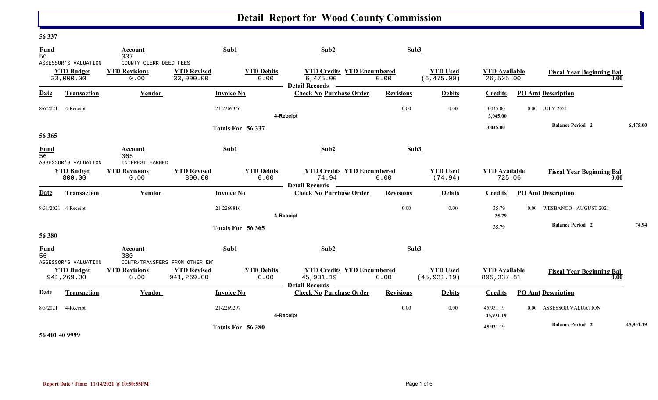#### **56 337**

| <u>Fund</u><br>$\overline{56}$ |                                                        | Account<br>337                                         |                                  | Sub1                      | Sub2                                                                    | Sub3             |                                 |                                     |                                          |           |
|--------------------------------|--------------------------------------------------------|--------------------------------------------------------|----------------------------------|---------------------------|-------------------------------------------------------------------------|------------------|---------------------------------|-------------------------------------|------------------------------------------|-----------|
|                                | ASSESSOR'S VALUATION<br><b>YTD Budget</b><br>33,000.00 | COUNTY CLERK DEED FEES<br><b>YTD Revisions</b><br>0.00 | <b>YTD Revised</b><br>33,000.00  | <b>YTD Debits</b><br>0.00 | <b>YTD Credits YTD Encumbered</b><br>6,475.00<br><b>Detail Records</b>  | 0.00             | <b>YTD Used</b><br>(6, 475.00)  | <b>YTD Available</b><br>26,525.00   | <b>Fiscal Year Beginning Bal</b><br>0.00 |           |
| Date                           | Transaction                                            | Vendor                                                 |                                  | <b>Invoice No</b>         | <b>Check No Purchase Order</b>                                          | <b>Revisions</b> | <b>Debits</b>                   | <b>Credits</b>                      | <b>PO Amt Description</b>                |           |
| 8/6/2021                       | 4-Receipt                                              |                                                        |                                  | 21-2269346                | 4-Receipt                                                               | 0.00             | 0.00                            | 3,045.00<br>3,045.00                | 0.00 JULY 2021                           |           |
| 56 365                         |                                                        |                                                        |                                  | Totals For 56 337         |                                                                         |                  |                                 | 3,045.00                            | <b>Balance Period 2</b>                  | 6,475.00  |
| $\frac{Fund}{56}$              | ASSESSOR'S VALUATION                                   | Account<br>365<br><b>INTEREST EARNED</b>               |                                  | Sub1                      | Sub2                                                                    | Sub3             |                                 |                                     |                                          |           |
|                                | <b>YTD Budget</b><br>800.00                            | <b>YTD Revisions</b><br>0.00                           | <b>YTD Revised</b><br>800.00     | <b>YTD Debits</b><br>0.00 | <b>YTD Credits YTD Encumbered</b><br>74.94                              | 0.00             | <b>YTD Used</b><br>(74.94)      | <b>YTD Available</b><br>725.06      | <b>Fiscal Year Beginning Bal</b><br>0.00 |           |
| <b>Date</b>                    | Transaction                                            | Vendor                                                 |                                  | <b>Invoice No</b>         | <b>Detail Records</b><br><b>Check No Purchase Order</b>                 | <b>Revisions</b> | <b>Debits</b>                   | <b>Credits</b>                      | <b>PO Amt Description</b>                |           |
|                                | 8/31/2021 4-Receipt                                    |                                                        |                                  | 21-2269816                | 4-Receipt                                                               | 0.00             | 0.00                            | 35.79<br>35.79                      | WESBANCO - AUGUST 2021<br>$0.00 -$       |           |
| 56 380                         |                                                        |                                                        |                                  | Totals For 56 365         |                                                                         |                  |                                 | 35.79                               | <b>Balance Period 2</b>                  | 74.94     |
| <b>Fund</b><br>56              | ASSESSOR'S VALUATION                                   | Account<br>380<br>CONTR/TRANSFERS FROM OTHER ENT       |                                  | Sub1                      | Sub2                                                                    | Sub3             |                                 |                                     |                                          |           |
|                                | <b>YTD Budget</b><br>941,269.00                        | <b>YTD Revisions</b><br>0.00                           | <b>YTD Revised</b><br>941,269.00 | <b>YTD Debits</b><br>0.00 | <b>YTD Credits YTD Encumbered</b><br>45,931.19<br><b>Detail Records</b> | 0.00             | <b>YTD Used</b><br>(45, 931.19) | <b>YTD Available</b><br>895, 337.81 | <b>Fiscal Year Beginning Bal</b><br>0.00 |           |
| Date                           | <b>Transaction</b>                                     | Vendor                                                 |                                  | <b>Invoice No</b>         | <b>Check No Purchase Order</b>                                          | <b>Revisions</b> | <b>Debits</b>                   | <b>Credits</b>                      | <b>PO Amt Description</b>                |           |
| 8/3/2021                       | 4-Receipt                                              |                                                        |                                  | 21-2269297                | 4-Receipt                                                               | 0.00             | 0.00                            | 45,931.19<br>45,931.19              | <b>ASSESSOR VALUATION</b><br>$0.00\,$    |           |
|                                |                                                        |                                                        |                                  | Totals For 56 380         |                                                                         |                  |                                 | 45,931.19                           | <b>Balance Period 2</b>                  | 45,931.19 |

**56 401 40 9999**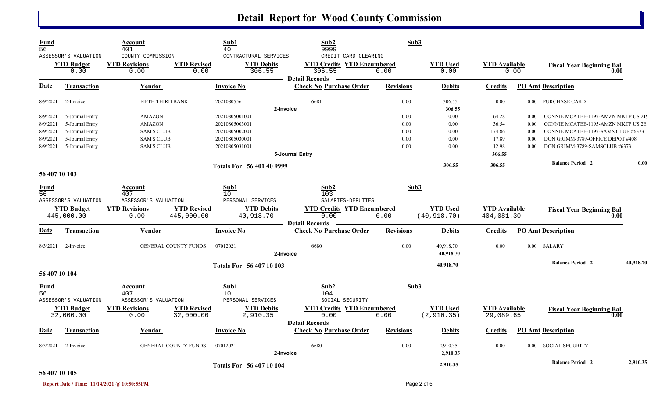| <b>Fund</b><br>$\overline{56}$ |                                                   | Account<br>401                                    |                                  | Sub1<br>40                                           | Sub2<br>9999<br>CREDIT CARD CLEARING                               | Sub3             |                                 |                                    |      |                                    |           |
|--------------------------------|---------------------------------------------------|---------------------------------------------------|----------------------------------|------------------------------------------------------|--------------------------------------------------------------------|------------------|---------------------------------|------------------------------------|------|------------------------------------|-----------|
|                                | ASSESSOR'S VALUATION<br><b>YTD</b> Budget<br>0.00 | COUNTY COMMISSION<br><b>YTD Revisions</b><br>0.00 | <b>YTD Revised</b><br>0.00       | CONTRACTURAL SERVICES<br><b>YTD Debits</b><br>306.55 | <b>YTD Credits YTD Encumbered</b><br>306.55<br>- Detail Records    | 0.00             | <b>YTD Used</b><br>0.00         | <b>YTD</b> Available               | 0.00 | <b>Fiscal Year Beginning Bal</b>   | 0.00      |
| Date                           | Transaction                                       | Vendor                                            |                                  | Invoice No                                           | <b>Check No Purchase Order</b>                                     | <b>Revisions</b> | Debits                          | <b>Credits</b>                     |      | <b>PO Amt Description</b>          |           |
| 8/9/2021                       | 2-Invoice                                         | FIFTH THIRD BANK                                  |                                  | 2021080556                                           | 6681<br>2-Invoice                                                  | 0.00             | 306.55<br>306.55                | 0.00                               |      | 0.00 PURCHASE CARD                 |           |
| 8/9/2021                       | 5-Journal Entry                                   | <b>AMAZON</b>                                     |                                  | 20210805001001                                       |                                                                    | 0.00             | 0.00                            | 64.28                              | 0.00 | CONNIE MCATEE-1195-AMZN MKTP US 21 |           |
| 8/9/2021                       | 5-Journal Entry                                   | <b>AMAZON</b>                                     |                                  | 20210805003001                                       |                                                                    | 0.00             | 0.00                            | 36.54                              | 0.00 | CONNIE MCATEE-1195-AMZN MKTP US 2E |           |
| 8/9/2021                       | 5-Journal Entry                                   | <b>SAM'S CLUB</b>                                 |                                  | 20210805002001                                       |                                                                    | 0.00             | 0.00                            | 174.86                             | 0.00 | CONNIE MCATEE-1195-SAMS CLUB #6373 |           |
| 8/9/2021                       | 5-Journal Entry                                   | <b>SAM'S CLUB</b>                                 |                                  | 20210805030001                                       |                                                                    | 0.00             | 0.00                            | 17.89                              | 0.00 | DON GRIMM-3789-OFFICE DEPOT #408   |           |
| 8/9/2021                       | 5-Journal Entry                                   | <b>SAM'S CLUB</b>                                 |                                  | 20210805031001                                       |                                                                    | 0.00             | 0.00                            | 12.98                              | 0.00 | DON GRIMM-3789-SAMSCLUB #6373      |           |
|                                |                                                   |                                                   |                                  |                                                      | 5-Journal Entry                                                    |                  |                                 | 306.55                             |      |                                    |           |
|                                |                                                   |                                                   |                                  | Totals For 56 401 40 9999                            |                                                                    |                  | 306.55                          | 306.55                             |      | <b>Balance Period 2</b>            | 0.00      |
| 56 407 10 103                  |                                                   |                                                   |                                  |                                                      |                                                                    |                  |                                 |                                    |      |                                    |           |
| <b>Fund</b><br>56              |                                                   | Account<br>407                                    |                                  | Sub1<br>10                                           | Sub2<br>103                                                        | Sub3             |                                 |                                    |      |                                    |           |
|                                | ASSESSOR'S VALUATION                              | ASSESSOR'S VALUATION                              |                                  | PERSONAL SERVICES                                    | SALARIES-DEPUTIES                                                  |                  |                                 |                                    |      |                                    |           |
|                                | <b>YTD Budget</b><br>445,000.00                   | <b>YTD Revisions</b><br>0.00                      | <b>YTD Revised</b><br>445,000.00 | <b>YTD Debits</b><br>40,918.70                       | <b>YTD Credits YTD Encumbered</b><br>0.00<br><b>Detail Records</b> | 0.00             | <b>YTD</b> Used<br>(40, 918.70) | <b>YTD Available</b><br>404,081.30 |      | <b>Fiscal Year Beginning Bal</b>   | 0.00      |
| Date                           | <b>Transaction</b>                                | Vendor                                            |                                  | <b>Invoice No</b>                                    | <b>Check No Purchase Order</b>                                     | <b>Revisions</b> | <b>Debits</b>                   | <b>Credits</b>                     |      | <b>PO Amt Description</b>          |           |
| 8/3/2021                       | 2-Invoice                                         |                                                   | <b>GENERAL COUNTY FUNDS</b>      | 07012021                                             | 6680<br>2-Invoice                                                  | 0.00             | 40,918.70<br>40,918.70          | 0.00                               |      | 0.00 SALARY                        |           |
| 56 407 10 104                  |                                                   |                                                   |                                  | <b>Totals For 56 407 10 103</b>                      |                                                                    |                  | 40,918.70                       |                                    |      | <b>Balance Period 2</b>            | 40,918.70 |
| Fund<br>$\overline{56}$        |                                                   | Account<br>407                                    |                                  | Sub1<br>10                                           | Sub2<br>104                                                        | Sub3             |                                 |                                    |      |                                    |           |
|                                | ASSESSOR'S VALUATION                              | ASSESSOR'S VALUATION                              |                                  | PERSONAL SERVICES                                    | SOCIAL SECURITY                                                    |                  |                                 |                                    |      |                                    |           |
|                                | <b>YTD Budget</b><br>32,000.00                    | <b>YTD Revisions</b><br>0.00                      | <b>YTD Revised</b><br>32,000.00  | <b>YTD Debits</b><br>2,910.35                        | <b>YTD Credits YTD Encumbered</b><br>0.00<br><b>Detail Records</b> | 0.00             | <b>YTD Used</b><br>(2, 910.35)  | <b>YTD</b> Available<br>29,089.65  |      | <b>Fiscal Year Beginning Bal</b>   | 0.00      |
| Date                           | <b>Transaction</b>                                | Vendor                                            |                                  | <b>Invoice No</b>                                    | <b>Check No Purchase Order</b>                                     | <b>Revisions</b> | <b>Debits</b>                   | <b>Credits</b>                     |      | <b>PO Amt Description</b>          |           |
| 8/3/2021                       | 2-Invoice                                         |                                                   | <b>GENERAL COUNTY FUNDS</b>      | 07012021                                             | 6680<br>2-Invoice                                                  | 0.00             | 2,910.35<br>2,910.35            | 0.00                               |      | 0.00 SOCIAL SECURITY               |           |
|                                |                                                   |                                                   |                                  | <b>Totals For 56 407 10 104</b>                      |                                                                    |                  | 2,910.35                        |                                    |      | <b>Balance Period 2</b>            | 2,910.35  |

#### **56 407 10 105**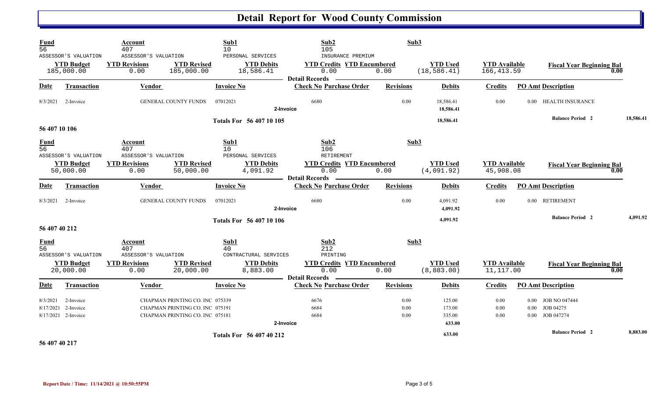| <b>Fund</b><br>$\overline{56}$ | ASSESSOR'S VALUATION<br><b>YTD Budget</b>     | Account<br>407<br>ASSESSOR'S VALUATION<br><b>YTD Revisions</b> | <b>YTD Revised</b>                                                                                    | Sub1<br>10<br>PERSONAL SERVICES<br><b>YTD Debits</b> | Sub2<br>105<br>INSURANCE PREMIUM<br><b>YTD Credits YTD Encumbered</b> | Sub3                 | <b>YTD Used</b>                      | <b>YTD Available</b>              |                      |                                                 |      |           |
|--------------------------------|-----------------------------------------------|----------------------------------------------------------------|-------------------------------------------------------------------------------------------------------|------------------------------------------------------|-----------------------------------------------------------------------|----------------------|--------------------------------------|-----------------------------------|----------------------|-------------------------------------------------|------|-----------|
|                                | 185,000.00                                    | 0.00                                                           | 185,000.00                                                                                            | 18,586.41                                            | 0.00                                                                  | 0.00                 | (18, 586.41)                         | 166, 413.59                       |                      | <b>Fiscal Year Beginning Bal</b>                | 0.00 |           |
| Date                           | <b>Transaction</b>                            | Vendor                                                         |                                                                                                       | <b>Invoice No</b>                                    | <b>Detail Records</b><br><b>Check No Purchase Order</b>               | <b>Revisions</b>     | <b>Debits</b>                        | <b>Credits</b>                    |                      | <b>PO Amt Description</b>                       |      |           |
| 8/3/2021                       | 2-Invoice                                     |                                                                | <b>GENERAL COUNTY FUNDS</b>                                                                           | 07012021                                             | 6680<br>2-Invoice                                                     | 0.00                 | 18,586.41<br>18,586.41               | 0.00                              | $0.00\,$             | <b>HEALTH INSURANCE</b>                         |      |           |
|                                |                                               |                                                                |                                                                                                       | Totals For 56 407 10 105                             |                                                                       |                      | 18,586.41                            |                                   |                      | <b>Balance Period 2</b>                         |      | 18,586.41 |
| 56 407 10 106                  |                                               |                                                                |                                                                                                       |                                                      |                                                                       |                      |                                      |                                   |                      |                                                 |      |           |
| <b>Fund</b><br>$\overline{56}$ | ASSESSOR'S VALUATION                          | Account<br>407<br>ASSESSOR'S VALUATION                         |                                                                                                       | Sub1<br>10<br>PERSONAL SERVICES                      | Sub2<br>106<br><b>RETIREMENT</b>                                      | Sub3                 |                                      |                                   |                      |                                                 |      |           |
|                                | <b>YTD Budget</b><br>50,000.00                | <b>YTD Revisions</b><br>0.00                                   | <b>YTD Revised</b><br>50,000.00                                                                       | <b>YTD Debits</b><br>4,091.92                        | <b>YTD Credits YTD Encumbered</b><br>0.00<br><b>Detail Records</b>    | 0.00                 | <b>YTD</b> Used<br>(4,091.92)        | <b>YTD Available</b><br>45,908.08 |                      | <b>Fiscal Year Beginning Bal</b>                | 0.00 |           |
| Date                           | Transaction                                   | Vendor                                                         |                                                                                                       | <b>Invoice No</b>                                    | <b>Check No Purchase Order</b>                                        | <b>Revisions</b>     | <b>Debits</b>                        | <b>Credits</b>                    |                      | <b>PO Amt Description</b>                       |      |           |
| 8/3/2021                       | 2-Invoice                                     |                                                                | <b>GENERAL COUNTY FUNDS</b>                                                                           | 07012021                                             | 6680<br>2-Invoice                                                     | 0.00                 | 4,091.92<br>4,091.92                 | 0.00                              | $0.00 -$             | <b>RETIREMENT</b>                               |      |           |
| 56 407 40 212                  |                                               |                                                                |                                                                                                       | <b>Totals For 56 407 10 106</b>                      |                                                                       |                      | 4,091.92                             |                                   |                      | <b>Balance Period 2</b>                         |      | 4,091.92  |
| <b>Fund</b><br>$\overline{56}$ | ASSESSOR'S VALUATION                          | Account<br>407<br>ASSESSOR'S VALUATION                         |                                                                                                       | Sub1<br>40<br>CONTRACTURAL SERVICES                  | Sub2<br>212<br>PRINTING                                               | Sub3                 |                                      |                                   |                      |                                                 |      |           |
|                                | <b>YTD Budget</b><br>20,000.00                | <b>YTD Revisions</b><br>0.00                                   | <b>YTD Revised</b><br>20,000.00                                                                       | <b>YTD Debits</b><br>8,883.00                        | <b>YTD Credits YTD Encumbered</b><br>0.00<br><b>Detail Records</b>    | 0.00                 | <b>YTD</b> Used<br>(8,883.00)        | <b>YTD</b> Available<br>11,117.00 |                      | <b>Fiscal Year Beginning Bal</b>                | 0.00 |           |
| Date                           | <b>Transaction</b>                            | <b>Vendor</b>                                                  |                                                                                                       | <b>Invoice No</b>                                    | <b>Check No Purchase Order</b>                                        | <b>Revisions</b>     | <b>Debits</b>                        | <b>Credits</b>                    |                      | <b>PO Amt Description</b>                       |      |           |
| 8/3/2021<br>8/17/2021          | 2-Invoice<br>2-Invoice<br>8/17/2021 2-Invoice |                                                                | CHAPMAN PRINTING CO. INC 075339<br>CHAPMAN PRINTING CO. INC 075191<br>CHAPMAN PRINTING CO. INC 075181 |                                                      | 6676<br>6684<br>6684<br>2-Invoice                                     | 0.00<br>0.00<br>0.00 | 125.00<br>173.00<br>335.00<br>633.00 | 0.00<br>0.00<br>0.00              | 0.00<br>0.00<br>0.00 | <b>JOB NO 047444</b><br>JOB 04275<br>JOB 047274 |      |           |
|                                |                                               |                                                                |                                                                                                       | <b>Totals For 56 407 40 212</b>                      |                                                                       |                      | 633.00                               |                                   |                      | <b>Balance Period 2</b>                         |      | 8,883.00  |

**56 407 40 217**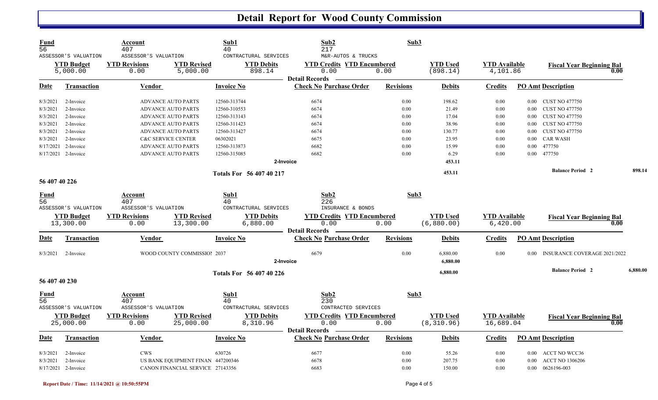| Fund<br>$\overline{56}$        | ASSESSOR'S VALUATION          | Account<br>407<br>ASSESSOR'S VALUATION |                                   | Sub1<br>40<br>CONTRACTURAL SERVICES | Sub2<br>217<br>M&R-AUTOS & TRUCKS                       | Sub3             |                             |                                  |          |                                          |          |
|--------------------------------|-------------------------------|----------------------------------------|-----------------------------------|-------------------------------------|---------------------------------------------------------|------------------|-----------------------------|----------------------------------|----------|------------------------------------------|----------|
|                                | <b>YTD</b> Budget<br>5,000.00 | <b>YTD Revisions</b><br>0.00           | <b>YTD Revised</b><br>5,000.00    | <b>YTD Debits</b><br>898.14         | <b>YTD Credits YTD Encumbered</b><br>0.00               | 0.00             | <b>YTD Used</b><br>(898.14) | <b>YTD Available</b><br>4,101.86 |          | <b>Fiscal Year Beginning Bal</b><br>0.00 |          |
| <u>Date</u>                    | Transaction                   | Vendor                                 |                                   | <b>Invoice No</b>                   | <b>Detail Records</b><br><b>Check No Purchase Order</b> | <b>Revisions</b> | <b>Debits</b>               | Credits                          |          | <b>PO Amt Description</b>                |          |
| 8/3/2021                       | 2-Invoice                     | <b>ADVANCE AUTO PARTS</b>              |                                   | 12560-313744                        | 6674                                                    | 0.00             | 198.62                      | 0.00                             |          | 0.00 CUST NO 477750                      |          |
| 8/3/2021                       | 2-Invoice                     | <b>ADVANCE AUTO PARTS</b>              |                                   | 12560-310553                        | 6674                                                    | 0.00             | 21.49                       | 0.00                             | $0.00\,$ | <b>CUST NO 477750</b>                    |          |
| 8/3/2021                       | 2-Invoice                     | <b>ADVANCE AUTO PARTS</b>              |                                   | 12560-313143                        | 6674                                                    | 0.00             | 17.04                       | 0.00                             | 0.00     | <b>CUST NO 477750</b>                    |          |
| 8/3/2021                       | 2-Invoice                     | <b>ADVANCE AUTO PARTS</b>              |                                   | 12560-311423                        | 6674                                                    | 0.00             | 38.96                       | 0.00                             | 0.00     | <b>CUST NO 477750</b>                    |          |
| 8/3/2021                       | 2-Invoice                     | <b>ADVANCE AUTO PARTS</b>              |                                   | 12560-313427                        | 6674                                                    | 0.00             | 130.77                      | 0.00                             | 0.00     | <b>CUST NO 477750</b>                    |          |
| 8/3/2021                       | 2-Invoice                     | <b>C&amp;C SERVICE CENTER</b>          |                                   | 06302021                            | 6675                                                    | 0.00             | 23.95                       | 0.00                             | 0.00     | <b>CAR WASH</b>                          |          |
| 8/17/2021                      | 2-Invoice                     | <b>ADVANCE AUTO PARTS</b>              |                                   | 12560-313873                        | 6682                                                    | 0.00             | 15.99                       | 0.00                             | $0.00\,$ | 477750                                   |          |
|                                | 8/17/2021 2-Invoice           | <b>ADVANCE AUTO PARTS</b>              |                                   | 12560-315085                        | 6682                                                    | 0.00             | 6.29                        | 0.00                             | $0.00\,$ | 477750                                   |          |
|                                |                               |                                        |                                   | 2-Invoice                           |                                                         |                  | 453.11                      |                                  |          |                                          |          |
|                                |                               | Totals For 56 407 40 217               |                                   |                                     |                                                         |                  | 453.11                      |                                  |          | <b>Balance Period 2</b>                  | 898.14   |
| 56 407 40 226                  |                               |                                        |                                   |                                     |                                                         |                  |                             |                                  |          |                                          |          |
| <b>Fund</b><br>$\overline{56}$ | ASSESSOR'S VALUATION          | Account<br>407<br>ASSESSOR'S VALUATION |                                   | Sub1<br>40<br>CONTRACTURAL SERVICES | Sub2<br>226<br>INSURANCE & BONDS                        | Sub3             |                             |                                  |          |                                          |          |
|                                | <b>YTD Budget</b>             | <b>YTD Revisions</b>                   | <b>YTD Revised</b>                | <b>YTD Debits</b>                   | <b>YTD Credits YTD Encumbered</b>                       |                  | <b>YTD Used</b>             | <b>YTD Available</b>             |          |                                          |          |
|                                | 13,300.00                     | 0.00                                   | 13,300.00                         | 6,880.00                            | 0.00                                                    | 0.00             | (6,880.00)                  | 6,420.00                         |          | <b>Fiscal Year Beginning Bal</b><br>0.00 |          |
| <b>Date</b>                    | <b>Transaction</b>            | Vendor                                 |                                   | <b>Invoice No</b>                   | <b>Detail Records</b><br><b>Check No Purchase Order</b> | <b>Revisions</b> | <b>Debits</b>               | <b>Credits</b>                   |          | <b>PO Amt Description</b>                |          |
|                                |                               |                                        |                                   |                                     |                                                         |                  |                             |                                  |          |                                          |          |
| 8/3/2021                       | 2-Invoice                     |                                        | WOOD COUNTY COMMISSIO! 2037       | 2-Invoice                           | 6679                                                    | 0.00             | 6,880.00<br>6,880.00        | 0.00                             | 0.00     | INSURANCE COVERAGE 2021/2022             |          |
|                                |                               |                                        |                                   | <b>Totals For 56 407 40 226</b>     |                                                         |                  | 6,880.00                    |                                  |          | <b>Balance Period 2</b>                  | 6,880.00 |
| 56 407 40 230                  |                               |                                        |                                   |                                     |                                                         |                  |                             |                                  |          |                                          |          |
| <b>Fund</b><br>56              |                               | Account<br>407                         |                                   | Sub1<br>40                          | Sub2<br>230                                             | Sub3             |                             |                                  |          |                                          |          |
|                                | ASSESSOR'S VALUATION          | ASSESSOR'S VALUATION                   |                                   | CONTRACTURAL SERVICES               | CONTRACTED SERVICES                                     |                  |                             |                                  |          |                                          |          |
|                                | <b>YTD Budget</b>             | <b>YTD Revisions</b>                   | <b>YTD Revised</b>                | <b>YTD Debits</b>                   | <b>YTD Credits YTD Encumbered</b>                       |                  | <b>YTD Used</b>             | <b>YTD</b> Available             |          | <b>Fiscal Year Beginning Bal</b>         |          |
|                                | 25,000.00                     | 0.00                                   | 25,000.00                         | 8,310.96                            | 0.00                                                    | 0.00             | (8, 310.96)                 | 16,689.04                        |          | 0.00                                     |          |
|                                |                               |                                        |                                   |                                     | <b>Detail Records</b>                                   |                  |                             |                                  |          |                                          |          |
| Date                           | <b>Transaction</b>            | <b>Vendor</b>                          |                                   | <b>Invoice No</b>                   | <b>Check No Purchase Order</b>                          | <b>Revisions</b> | <b>Debits</b>               | <b>Credits</b>                   |          | <b>PO Amt Description</b>                |          |
| 8/3/2021                       | 2-Invoice                     | <b>CWS</b>                             |                                   | 630726                              | 6677                                                    | 0.00             | 55.26                       | 0.00                             |          | 0.00 ACCT NO WCC36                       |          |
| 8/3/2021                       | 2-Invoice                     |                                        | US BANK EQUIPMENT FINAN 447200346 |                                     | 6678                                                    | 0.00             | 207.75                      | 0.00                             | 0.00     | <b>ACCT NO 1306206</b>                   |          |
|                                | 8/17/2021 2-Invoice           |                                        | CANON FINANCIAL SERVICE 27143356  |                                     | 6683                                                    | 0.00             | 150.00                      | 0.00                             |          | 0.00 0626196-003                         |          |